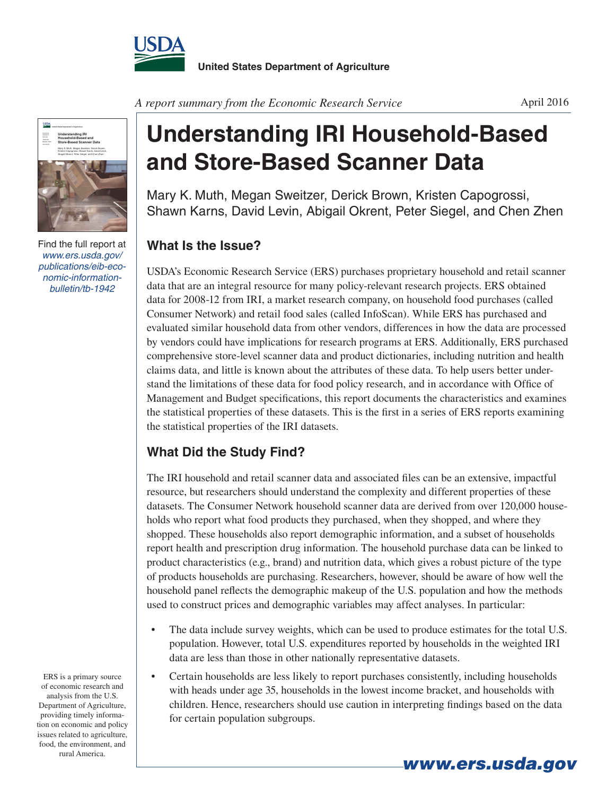

*A report summary from the Economic Research Service*



Find the full report at *www.ers.usda.gov/ publications/eib-economic-informationbulletin/tb-1942*

**Understanding IRI Household-Based and Store-Based Scanner Data**

Mary K. Muth, Megan Sweitzer, Derick Brown, Kristen Capogrossi, Shawn Karns, David Levin, Abigail Okrent, Peter Siegel, and Chen Zhen

## **What Is the Issue?**

USDA's Economic Research Service (ERS) purchases proprietary household and retail scanner data that are an integral resource for many policy-relevant research projects. ERS obtained data for 2008-12 from IRI, a market research company, on household food purchases (called Consumer Network) and retail food sales (called InfoScan). While ERS has purchased and evaluated similar household data from other vendors, differences in how the data are processed by vendors could have implications for research programs at ERS. Additionally, ERS purchased comprehensive store-level scanner data and product dictionaries, including nutrition and health claims data, and little is known about the attributes of these data. To help users better understand the limitations of these data for food policy research, and in accordance with Office of Management and Budget specifications, this report documents the characteristics and examines the statistical properties of these datasets. This is the first in a series of ERS reports examining the statistical properties of the IRI datasets.

## **What Did the Study Find?**

The IRI household and retail scanner data and associated files can be an extensive, impactful resource, but researchers should understand the complexity and different properties of these datasets. The Consumer Network household scanner data are derived from over 120,000 households who report what food products they purchased, when they shopped, and where they shopped. These households also report demographic information, and a subset of households report health and prescription drug information. The household purchase data can be linked to product characteristics (e.g., brand) and nutrition data, which gives a robust picture of the type of products households are purchasing. Researchers, however, should be aware of how well the household panel reflects the demographic makeup of the U.S. population and how the methods used to construct prices and demographic variables may affect analyses. In particular:

- The data include survey weights, which can be used to produce estimates for the total U.S. population. However, total U.S. expenditures reported by households in the weighted IRI data are less than those in other nationally representative datasets.
- Certain households are less likely to report purchases consistently, including households with heads under age 35, households in the lowest income bracket, and households with children. Hence, researchers should use caution in interpreting findings based on the data for certain population subgroups.

ERS is a primary source of economic research and analysis from the U.S. Department of Agriculture, providing timely information on economic and policy issues related to agriculture, food, the environment, and rural America.